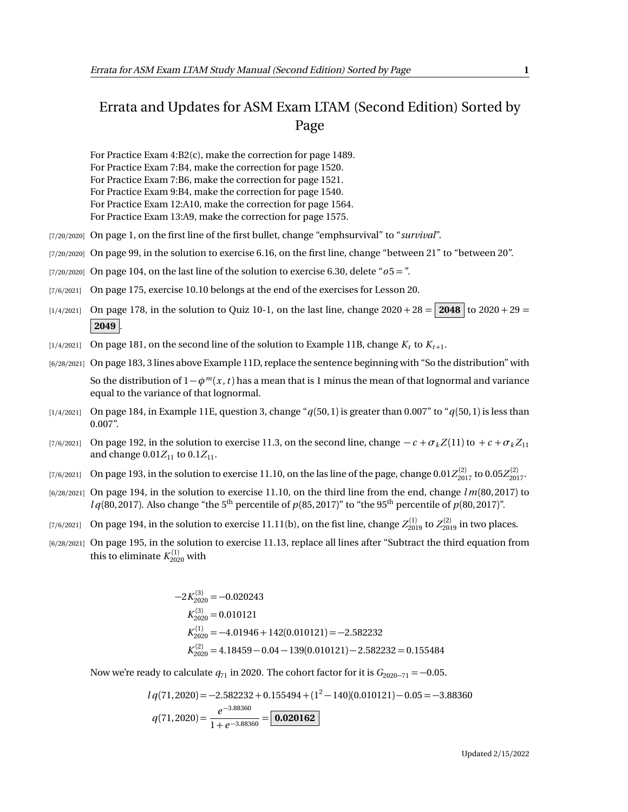## Errata and Updates for ASM Exam LTAM (Second Edition) Sorted by Page

For Practice Exam 4:B2(c), make the correction for page 1489. For Practice Exam 7:B4, make the correction for page 1520. For Practice Exam 7:B6, make the correction for page 1521. For Practice Exam 9:B4, make the correction for page 1540. For Practice Exam 12:A10, make the correction for page 1564. For Practice Exam 13:A9, make the correction for page 1575.

- [7/20/2020] On page 1, on the first line of the first bullet, change "emphsurvival" to "*survival*".
- [7/20/2020] On page 99, in the solution to exercise 6.16, on the first line, change "between 21" to "between 20".
- $(7/20/2020)$  On page 104, on the last line of the solution to exercise 6.30, delete " $\sigma$ 5 = ".
- [7/6/2021] On page 175, exercise 10.10 belongs at the end of the exercises for Lesson 20.
- [1/4/2021] On page 178, in the solution to Quiz 10-1, on the last line, change 2020 + 28 = **2048** to 2020 + 29 =  $2049$
- $\lbrack 1/4/2021\rbrack$  On page 181, on the second line of the solution to Example 11B, change  $K_t$  to  $K_{t+1}.$
- [6/28/2021] On page 183, 3 lines above Example 11D, replace the sentence beginning with "So the distribution" with So the distribution of  $1-\phi^m(x, t)$  has a mean that is 1 minus the mean of that lognormal and variance equal to the variance of that lognormal.
- [1/4/2021] On page 184, in Example 11E, question 3, change "*q*(50, 1) is greater than 0.007" to "*q*(50, 1) is less than 0.007".
- [7/6/2021] On page 192, in the solution to exercise 11.3, on the second line, change  $-c + \sigma_k Z(11)$  to  $+c + \sigma_k Z_11$ and change  $0.01Z_{11}$  to  $0.1Z_{11}$ .
- $_{[7/6/2021]}$  On page 193, in the solution to exercise 11.10, on the las line of the page, change  $0.01Z_{2017}^{(2)}$  to  $0.05Z_{2017}^{(2)}$ .
- [6/28/2021] On page 194, in the solution to exercise 11.10, on the third line from the end, change *l m*(80, 2017) to  $l q(80, 2017)$ . Also change "the 5<sup>th</sup> percentile of  $p(85, 2017)$ " to "the 95<sup>th</sup> percentile of  $p(80, 2017)$ ".
- $(7/6/2021]$  On page 194, in the solution to exercise  $11.11(b)$ , on the fist line, change  $Z_{2019}^{(1)}$  to  $Z_{2019}^{(2)}$  in two places.
- [6/28/2021] On page 195, in the solution to exercise 11.13, replace all lines after "Subtract the third equation from this to eliminate  $K_{2020}^{(1)}$  with

$$
-2K_{2020}^{(3)} = -0.020243
$$
  
\n
$$
K_{2020}^{(3)} = 0.010121
$$
  
\n
$$
K_{2020}^{(1)} = -4.01946 + 142(0.010121) = -2.582232
$$
  
\n
$$
K_{2020}^{(2)} = 4.18459 - 0.04 - 139(0.010121) - 2.582232 = 0.155484
$$

Now we're ready to calculate  $q_{71}$  in 2020. The cohort factor for it is  $G_{2020-71} = -0.05$ .

$$
l q(71, 2020) = -2.582232 + 0.155494 + (1^2 - 140)(0.010121) - 0.05 = -3.88360
$$
  

$$
q(71, 2020) = \frac{e^{-3.88360}}{1 + e^{-3.88360}} = \boxed{\textbf{0.020162}}
$$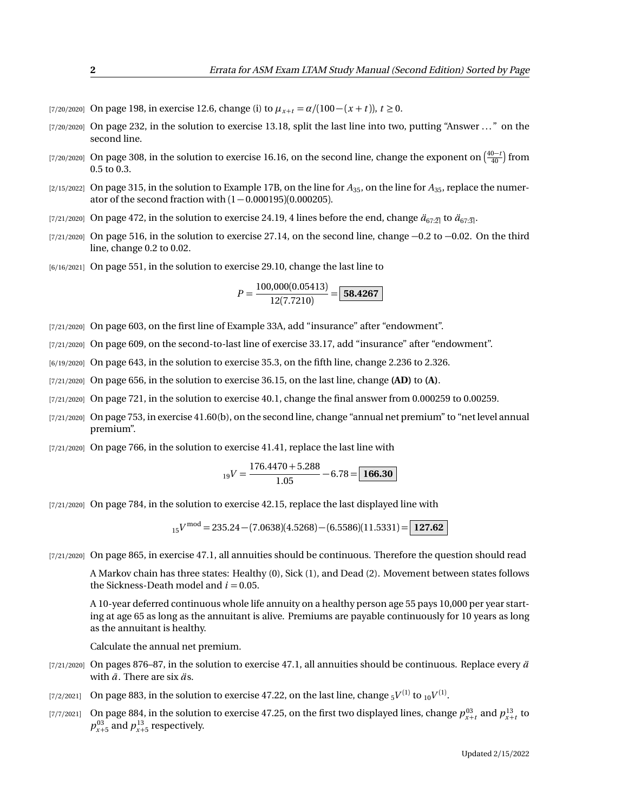- $[7/20/2020]$  On page 198, in exercise 12.6, change (i) to  $\mu_{x+t} = \alpha/(100 (x + t))$ ,  $t \ge 0$ .
- [7/20/2020] On page 232, in the solution to exercise 13.18, split the last line into two, putting "Answer ..." on the second line.
- [7/20/2020] On page 308, in the solution to exercise 16.16, on the second line, change the exponent on  $\left(\frac{40-t}{40}\right)$  from 0.5 to 0.3.
- [2/15/2022] On page 315, in the solution to Example 17B, on the line for  $A_{35}$ , on the line for  $A_{35}$ , replace the numerator of the second fraction with  $(1 - 0.000195)(0.000205)$ .
- [7/21/2020] On page 472, in the solution to exercise 24.19, 4 lines before the end, change  $\ddot{a}_{67:2}$  to  $\ddot{a}_{67:3}$ .
- [ $7/21/2020$ ] On page 516, in the solution to exercise 27.14, on the second line, change  $-0.2$  to  $-0.02$ . On the third line, change 0.2 to 0.02.
- [6/16/2021] On page 551, in the solution to exercise 29.10, change the last line to

$$
P = \frac{100,000(0.05413)}{12(7.7210)} = \boxed{58.4267}
$$

- [7/21/2020] On page 603, on the first line of Example 33A, add "insurance" after "endowment".
- [7/21/2020] On page 609, on the second-to-last line of exercise 33.17, add "insurance" after "endowment".
- [6/19/2020] On page 643, in the solution to exercise 35.3, on the fifth line, change 2.236 to 2.326.
- [7/21/2020] On page 656, in the solution to exercise 36.15, on the last line, change **(AD)** to **(A)**.
- [7/21/2020] On page 721, in the solution to exercise 40.1, change the final answer from 0.000259 to 0.00259.
- [7/21/2020] On page 753, in exercise 41.60(b), on the second line, change "annual net premium" to "net level annual premium".
- $[7/21/2020]$  On page 766, in the solution to exercise 41.41, replace the last line with

$$
_{19}V = \frac{176.4470 + 5.288}{1.05} - 6.78 = \boxed{166.30}
$$

[7/21/2020] On page 784, in the solution to exercise 42.15, replace the last displayed line with

<sup>15</sup>*V* mod = 235.24 − (7.0638)(4.5268) − (6.5586)(11.5331) = **127.62**

[7/21/2020] On page 865, in exercise 47.1, all annuities should be continuous. Therefore the question should read

A Markov chain has three states: Healthy (0), Sick (1), and Dead (2). Movement between states follows the Sickness-Death model and  $i = 0.05$ .

A 10-year deferred continuous whole life annuity on a healthy person age 55 pays 10,000 per year starting at age 65 as long as the annuitant is alive. Premiums are payable continuously for 10 years as long as the annuitant is healthy.

Calculate the annual net premium.

- [7/21/2020] On pages 876–87, in the solution to exercise 47.1, all annuities should be continuous. Replace every  $\ddot{a}$ with  $\bar{a}$ . There are six  $\ddot{a}$ s.
- $_{[7/2/2021]}$   $\,$  On page 883, in the solution to exercise 47.22, on the last line, change  $_{5}V^{(1)}$  to  $_{10}V^{(1)}.$
- [7/7/2021] On page 884, in the solution to exercise 47.25, on the first two displayed lines, change  $p_{x+t}^{03}$  and  $p_{x+t}^{13}$  to  $p_{x+5}^{03}$  and  $p_{x+5}^{13}$  respectively.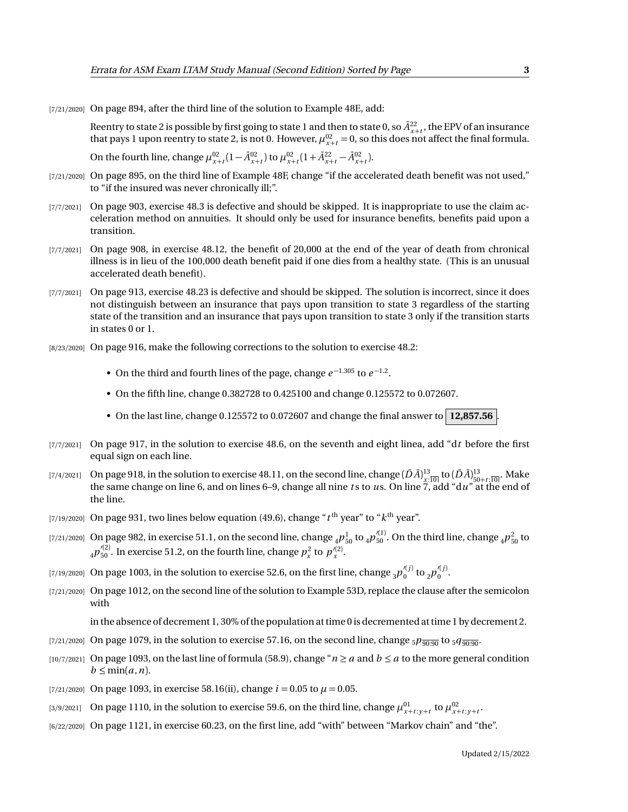[7/21/2020] On page 894, after the third line of the solution to Example 48E, add:

Reentry to state 2 is possible by first going to state 1 and then to state 0, so  $\bar{A}^{22}_{x+t}$ , the EPV of an insurance that pays 1 upon reentry to state 2, is not 0. However,  $\mu_{x+t}^{02} = 0$ , so this does not affect the final formula.

On the fourth line, change  $\mu_{x+t}^{02} (1 - \bar{A}_{x+t}^{02})$  to  $\mu_{x+t}^{02} (1 + \bar{A}_{x+t}^{22} - \bar{A}_{x+t}^{02})$ .

- [7/21/2020] On page 895, on the third line of Example 48F, change "if the accelerated death benefit was not used," to "if the insured was never chronically ill;".
- [7/7/2021] On page 903, exercise 48.3 is defective and should be skipped. It is inappropriate to use the claim acceleration method on annuities. It should only be used for insurance benefits, benefits paid upon a transition.
- [7/7/2021] On page 908, in exercise 48.12, the benefit of 20,000 at the end of the year of death from chronical illness is in lieu of the 100,000 death benefit paid if one dies from a healthy state. (This is an unusual accelerated death benefit).
- [7/7/2021] On page 913, exercise 48.23 is defective and should be skipped. The solution is incorrect, since it does not distinguish between an insurance that pays upon transition to state 3 regardless of the starting state of the transition and an insurance that pays upon transition to state 3 only if the transition starts in states 0 or 1.
- [8/23/2020] On page 916, make the following corrections to the solution to exercise 48.2:
	- On the third and fourth lines of the page, change  $e^{-1.305}$  to  $e^{-1.2}$ .
	- On the fifth line, change 0.382728 to 0.425100 and change 0.125572 to 0.072607.
	- On the last line, change 0.125572 to 0.072607 and change the final answer to  $\vert$  12,857.56
- [7/7/2021] On page 917, in the solution to exercise 48.6, on the seventh and eight linea, add "d*t* before the first equal sign on each line.
- [7/4/2021] On page 918, in the solution to exercise 48.11, on the second line, change  $(\bar{D}\bar{A})^{13}_{x:\overline{10}|}$  to  $(\bar{D}\bar{A})^{13}_{50+t:\overline{10}|}$ . Make the same change on line 6, and on lines 6–9, change all nine ts to us. On the line.
- $_{\rm [7/19/2020]}$  On page 931, two lines below equation (49.6), change " $t^{\rm th}$  year" to " $k^{\rm th}$  year".
- [7/21/2020] On page 982, in exercise 51.1, on the second line, change  $_4p_{50}^1$  to  $_4p_{50}^{\prime(1)}$ . On the third line, change  $_4p_{50}^2$  to  $_4p_{50}^{\prime(2)}$ . In exercise 51.2, on the fourth line, change  $p_x^2$  to  $p_x^{\prime(2)}$ .
- [7/19/2020] On page 1003, in the solution to exercise 52.6, on the first line, change  $_3p_0'^{(j)}$  to  $_2p_0'^{(j)}.$
- [7/21/2020] On page 1012, on the second line of the solution to Example 53D, replace the clause after the semicolon with

in the absence of decrement 1, 30% of the population at time 0 is decremented at time 1 by decrement 2.

- [7/21/2020] On page 1079, in the solution to exercise 57.16, on the second line, change  $5p_{\overline{90:90}}$  to  $5q_{\overline{90:90}}$ .
- [10/7/2021] On page 1093, on the last line of formula (58.9), change " $n \ge a$  and  $b \le a$  to the more general condition  $b \leq \min(a, n)$ .
- [7/21/2020] On page 1093, in exercise 58.16(ii), change  $i = 0.05$  to  $\mu = 0.05$ .
- [3/9/2021] On page 1110, in the solution to exercise 59.6, on the third line, change  $\mu_{x+t:y+t}^{01}$  to  $\mu_{x+t:y+t}^{02}$ .
- [6/22/2020] On page 1121, in exercise 60.23, on the first line, add "with" between "Markov chain" and "the".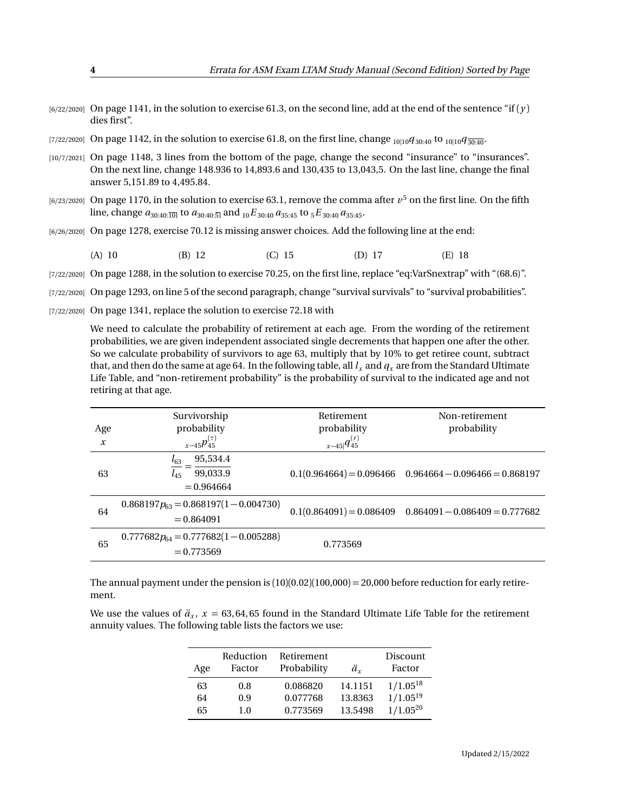- $[6/22/2020]$  On page 1141, in the solution to exercise 61.3, on the second line, add at the end of the sentence "if  $(\gamma)$ " dies first".
- [7/22/2020] On page 1142, in the solution to exercise 61.8, on the first line, change <sub>10|10</sub> $q_{30:40}$  to <sub>10|10</sub> $q_{30:40}$ .
- [10/7/2021] On page 1148, 3 lines from the bottom of the page, change the second "insurance" to "insurances". On the next line, change 148.936 to 14,893.6 and 130,435 to 13,043,5. On the last line, change the final answer 5,151.89 to 4,495.84.
- $_{[6/23/2020]}$  On page 1170, in the solution to exercise 63.1, remove the comma after  $v^5$  on the first line. On the fifth line, change  $a_{30:40:\overline{10|}}$  to  $a_{30:40:\overline{5|}}$  and  $_{10}E_{30:40}a_{35:45}$  to  $_{5}E_{30:40}a_{35:45}$ .
- [6/26/2020] On page 1278, exercise 70.12 is missing answer choices. Add the following line at the end:

(A) 10 (B) 12 (C) 15 (D) 17 (E) 18

[7/22/2020] On page 1288, in the solution to exercise 70.25, on the first line, replace "eq:VarSnextrap" with "(68.6)".

- [7/22/2020] On page 1293, on line 5 of the second paragraph, change "survival survivals" to "survival probabilities".
- [7/22/2020] On page 1341, replace the solution to exercise 72.18 with

We need to calculate the probability of retirement at each age. From the wording of the retirement probabilities, we are given independent associated single decrements that happen one after the other. So we calculate probability of survivors to age 63, multiply that by 10% to get retiree count, subtract that, and then do the same at age 64. In the following table, all  $l_x$  and  $q_x$  are from the Standard Ultimate Life Table, and "non-retirement probability" is the probability of survival to the indicated age and not retiring at that age.

| Age              | Survivorship<br>probability                                  | Retirement<br>probability | Non-retirement<br>probability                               |
|------------------|--------------------------------------------------------------|---------------------------|-------------------------------------------------------------|
| $\boldsymbol{x}$ | $x-45p_{45}^{(\tau)}$                                        | $x-45 q_{45}^{(r)}$       |                                                             |
| 63               | 95,534.4<br>$l_{63}$<br>99,033.9<br>$l_{45}$<br>$= 0.964664$ |                           | $0.1(0.964664) = 0.096466$ $0.964664 - 0.096466 = 0.868197$ |
| 64               | $0.868197p_{63} = 0.868197(1 - 0.004730)$<br>$= 0.864091$    |                           | $0.1(0.864091) = 0.086409$ $0.864091 - 0.086409 = 0.777682$ |
| 65               | $0.777682p_{64} = 0.777682(1 - 0.005288)$<br>$= 0.773569$    | 0.773569                  |                                                             |

The annual payment under the pension is  $(10)(0.02)(100,000) = 20,000$  before reduction for early retirement.

We use the values of  $\ddot{a}_x$ ,  $x = 63,64,65$  found in the Standard Ultimate Life Table for the retirement annuity values. The following table lists the factors we use:

|     | Reduction | Retirement  |         | Discount      |
|-----|-----------|-------------|---------|---------------|
| Age | Factor    | Probability | ä.      | Factor        |
| 63  | 0.8       | 0.086820    | 14.1151 | $1/1.05^{18}$ |
| 64  | 0.9       | 0.077768    | 13.8363 | $1/1.05^{19}$ |
| 65  | 1.0       | 0.773569    | 13.5498 | $1/1.05^{20}$ |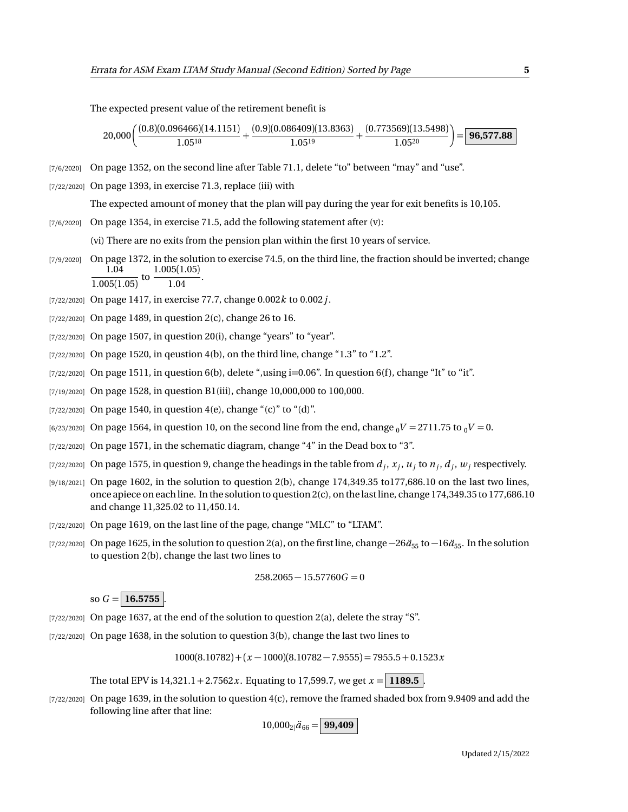The expected present value of the retirement benefit is

 $20,000 \Big( \frac{(0.8)(0.096466)(14.1151)}{1.0519}$  $\frac{(6466)(14.1151)}{1.05^{18}} + \frac{(0.9)(0.086409)(13.8363)}{1.05^{19}}$  $\frac{(6409)(13.8363)}{1.05^{19}} + \frac{(0.773569)(13.5498)}{1.05^{20}} = 96,577.88$ 

- [7/6/2020] On page 1352, on the second line after Table 71.1, delete "to" between "may" and "use".
- [7/22/2020] On page 1393, in exercise 71.3, replace (iii) with

The expected amount of money that the plan will pay during the year for exit benefits is 10,105.

 $[7/6/2020]$  On page 1354, in exercise 71.5, add the following statement after  $(v)$ :

(vi) There are no exits from the pension plan within the first 10 years of service.

- [7/9/2020] On page 1372, in the solution to exercise 74.5, on the third line, the fraction should be inverted; change 1.04  $\frac{1.04}{1.005(1.05)}$  to  $\frac{1.005(1.05)}{1.04}$  $\frac{1.04}{1.04}$ .
- [7/22/2020] On page 1417, in exercise 77.7, change 0.002*k* to 0.002*j*.
- $[7/22/2020]$  On page 1489, in question 2(c), change 26 to 16.
- $[7/22/2020]$  On page 1507, in question 20(i), change "years" to "year".
- $(7/22/2020)$  On page 1520, in qeustion 4(b), on the third line, change "1.3" to "1.2".
- $[7/22/2020]$  On page 1511, in question 6(b), delete ",using i=0.06". In question 6(f), change "It" to "it".
- [7/19/2020] On page 1528, in question B1(iii), change 10,000,000 to 100,000.
- $[7/22/2020]$  On page 1540, in question 4(e), change "(c)" to "(d)".
- $(6/23/2020)$  On page 1564, in question 10, on the second line from the end, change  $_0V = 2711.75$  to  $_0V = 0$ .
- [7/22/2020] On page 1571, in the schematic diagram, change "4" in the Dead box to "3".
- $_{[7/22/2020]}$  On page 1575, in question 9, change the headings in the table from  $d_j, x_j, u_j$  to  $n_j, d_j, w_j$  respectively.
- $[9/18/2021]$  On page 1602, in the solution to question 2(b), change 174,349.35 to 177,686.10 on the last two lines, once apiece on each line. In the solution to question 2(c), on the last line, change 174,349.35 to 177,686.10 and change 11,325.02 to 11,450.14.
- [7/22/2020] On page 1619, on the last line of the page, change "MLC" to "LTAM".
- [7/22/2020] On page 1625, in the solution to question 2(a), on the first line, change  $-26\ddot{a}_{55}$  to  $-16\ddot{a}_{55}$ . In the solution to question 2(b), change the last two lines to

$$
258.2065 - 15.57760G = 0
$$

so  $G = 16.5755$ .

- $[7/22/2020]$  On page 1637, at the end of the solution to question 2(a), delete the stray "S".
- $[7/22/2020]$  On page 1638, in the solution to question 3(b), change the last two lines to

 $1000(8.10782) + (x - 1000)(8.10782 - 7.9555) = 7955.5 + 0.1523x$ 

The total EPV is  $14,321.1 + 2.7562x$ . Equating to 17,599.7, we get  $x = 1189.5$ .

[7/22/2020] On page 1639, in the solution to question 4(c), remove the framed shaded box from 9.9409 and add the following line after that line:

 $10,000_{2}$ <sup> $a_{66}$ </sup> = **99,409**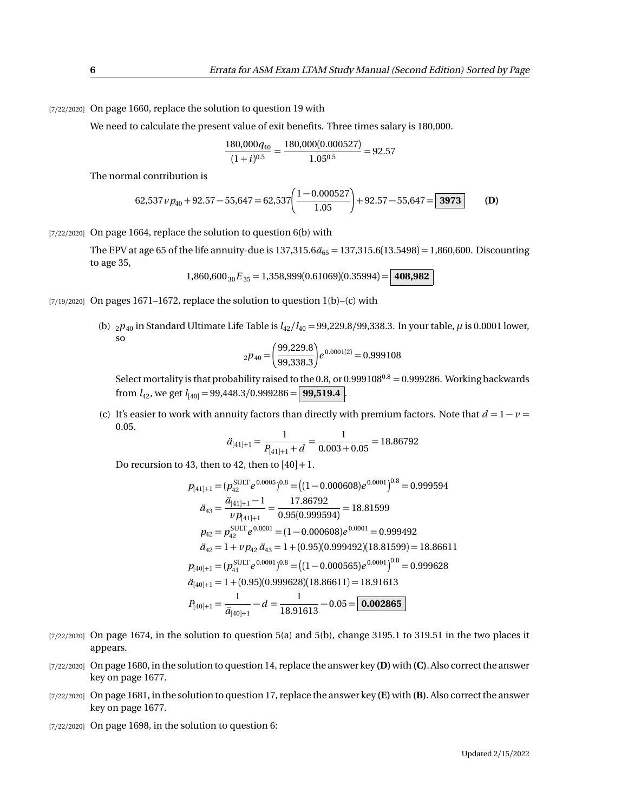[7/22/2020] On page 1660, replace the solution to question 19 with

We need to calculate the present value of exit benefits. Three times salary is 180,000.

$$
\frac{180,000q_{40}}{(1+i)^{0.5}} = \frac{180,000(0.000527)}{1.05^{0.5}} = 92.57
$$

The normal contribution is

62,537 
$$
v p_{40} + 92.57 - 55,647 = 62,537 \left( \frac{1 - 0.000527}{1.05} \right) + 92.57 - 55,647 = \boxed{3973}
$$
 (D)

 $[7/22/2020]$  On page 1664, replace the solution to question 6(b) with

The EPV at age 65 of the life annuity-due is  $137,315.6\ddot{a}_{65} = 137,315.6(13.5498) = 1,860,600$ . Discounting to age 35,

$$
1,860,600_{30}E_{35} = 1,358,999(0.61069)(0.35994) = |408,982|
$$

- $[7/19/2020]$  On pages 1671–1672, replace the solution to question 1(b)–(c) with
	- (b)  $_2p_{40}$  in Standard Ultimate Life Table is  $l_{42}/l_{40} = 99,229.8/99,338.3$ . In your table,  $\mu$  is 0.0001 lower, so

$$
{}_{2}p_{40} = \left(\frac{99,229.8}{99,338.3}\right) e^{0.0001(2)} = 0.999108
$$

Select mortality is that probability raised to the 0.8, or  $0.999108^{0.8} = 0.999286$ . Working backwards from  $l_{42}$ , we get  $l_{[40]} = 99,448.3/0.999286 =$  **99,519.4** 

(c) It's easier to work with annuity factors than directly with premium factors. Note that  $d = 1 - v =$ 0.05.

$$
\ddot{a}_{[41]+1} = \frac{1}{P_{[41]+1} + d} = \frac{1}{0.003 + 0.05} = 18.86792
$$

Do recursion to 43, then to 42, then to  $[40]+1$ .

$$
p_{[41]+1} = (p_{42}^{\text{SULT}} e^{0.0005})^{0.8} = ((1 - 0.000608)e^{0.0001})^{0.8} = 0.999594
$$
  
\n
$$
\ddot{a}_{43} = \frac{\ddot{a}_{[41]+1} - 1}{\nu p_{[41]+1}} = \frac{17.86792}{0.95(0.999594)} = 18.81599
$$
  
\n
$$
p_{42} = p_{42}^{\text{SULT}} e^{0.0001} = (1 - 0.000608)e^{0.0001} = 0.999492
$$
  
\n
$$
\ddot{a}_{42} = 1 + \nu p_{42} \, \ddot{a}_{43} = 1 + (0.95)(0.999492)(18.81599) = 18.86611
$$
  
\n
$$
p_{[40]+1} = (p_{41}^{\text{SULT}} e^{0.0001})^{0.8} = ((1 - 0.000565)e^{0.0001})^{0.8} = 0.999628
$$
  
\n
$$
\ddot{a}_{[40]+1} = 1 + (0.95)(0.999628)(18.86611) = 18.91613
$$
  
\n
$$
P_{[40]+1} = \frac{1}{\ddot{a}_{[40]+1}} - d = \frac{1}{18.91613} - 0.05 = 0.002865
$$

- $[7/22/2020]$  On page 1674, in the solution to question 5(a) and 5(b), change 3195.1 to 319.51 in the two places it appears.
- [7/22/2020] On page 1680, in the solution to question 14, replace the answer key **(D)**with **(C)**. Also correct the answer key on page 1677.
- [7/22/2020] On page 1681, in the solution to question 17, replace the answer key **(E)** with **(B)**. Also correct the answer key on page 1677.
- [7/22/2020] On page 1698, in the solution to question 6: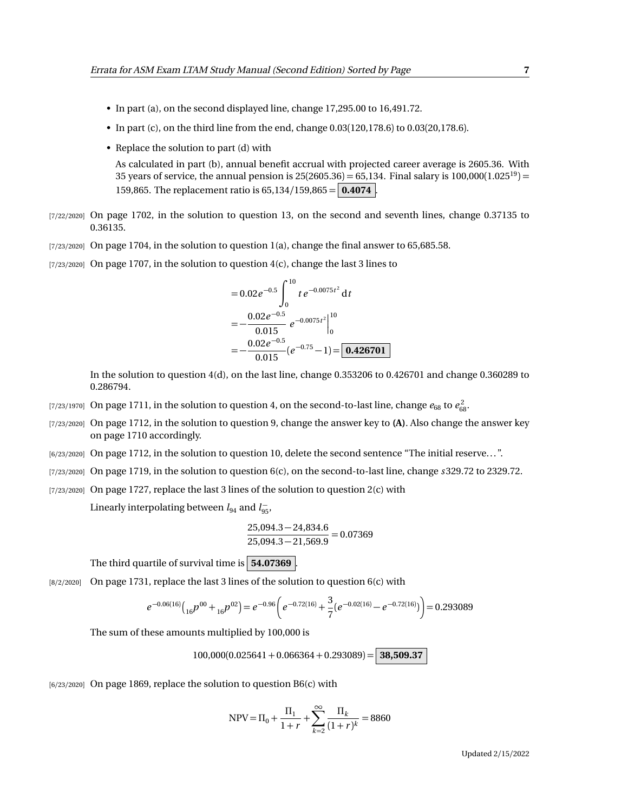- In part (a), on the second displayed line, change 17,295.00 to 16,491.72.
- In part (c), on the third line from the end, change 0.03(120,178.6) to 0.03(20,178.6).
- Replace the solution to part (d) with

As calculated in part (b), annual benefit accrual with projected career average is 2605.36. With 35 years of service, the annual pension is  $25(2605.36) = 65,134$ . Final salary is  $100,000(1.025^{19}) =$ 159,865. The replacement ratio is 65,134*/*159,865 = **0.4074** .

- [7/22/2020] On page 1702, in the solution to question 13, on the second and seventh lines, change 0.37135 to 0.36135.
- $[7/23/2020]$  On page 1704, in the solution to question 1(a), change the final answer to 65,685.58.
- $[7/23/2020]$  On page 1707, in the solution to question 4(c), change the last 3 lines to

$$
= 0.02e^{-0.5}\int_0^{10} te^{-0.0075t^2} dt
$$
  
=  $-\frac{0.02e^{-0.5}}{0.015}e^{-0.0075t^2}|_0^{10}$   
=  $-\frac{0.02e^{-0.5}}{0.015}(e^{-0.75}-1)=$  0.426701

In the solution to question 4(d), on the last line, change 0.353206 to 0.426701 and change 0.360289 to 0.286794.

- [7/23/1970] On page 1711, in the solution to question 4, on the second-to-last line, change  $e_{68}$  to  $e_{68}^2$ .
- [7/23/2020] On page 1712, in the solution to question 9, change the answer key to **(A)**. Also change the answer key on page 1710 accordingly.
- [6/23/2020] On page 1712, in the solution to question 10, delete the second sentence "The initial reserve. . . ".
- [7/23/2020] On page 1719, in the solution to question 6(c), on the second-to-last line, change *s* 329.72 to 2329.72.
- [7/23/2020] On page 1727, replace the last 3 lines of the solution to question 2(c) with

Linearly interpolating between  $l_{94}$  and  $l_{95}^-$ ,

$$
\frac{25,094.3 - 24,834.6}{25,094.3 - 21,569.9} = 0.07369
$$

The third quartile of survival time is **54.07369** .

 $[8/2/2020]$  On page 1731, replace the last 3 lines of the solution to question 6(c) with

$$
e^{-0.06(16)}\left({_{16}}p^{00}+{}_{16}p^{02}\right)=e^{-0.96}\left(e^{-0.72(16)}+\frac{3}{7}(e^{-0.02(16)}-e^{-0.72(16)})\right)=0.293089
$$

The sum of these amounts multiplied by 100,000 is

100,000(0.025641 + 0.066364 + 0.293089) = **38,509.37**

 $[6/23/2020]$  On page 1869, replace the solution to question B6(c) with

$$
NPV = \Pi_0 + \frac{\Pi_1}{1+r} + \sum_{k=2}^{\infty} \frac{\Pi_k}{(1+r)^k} = 8860
$$